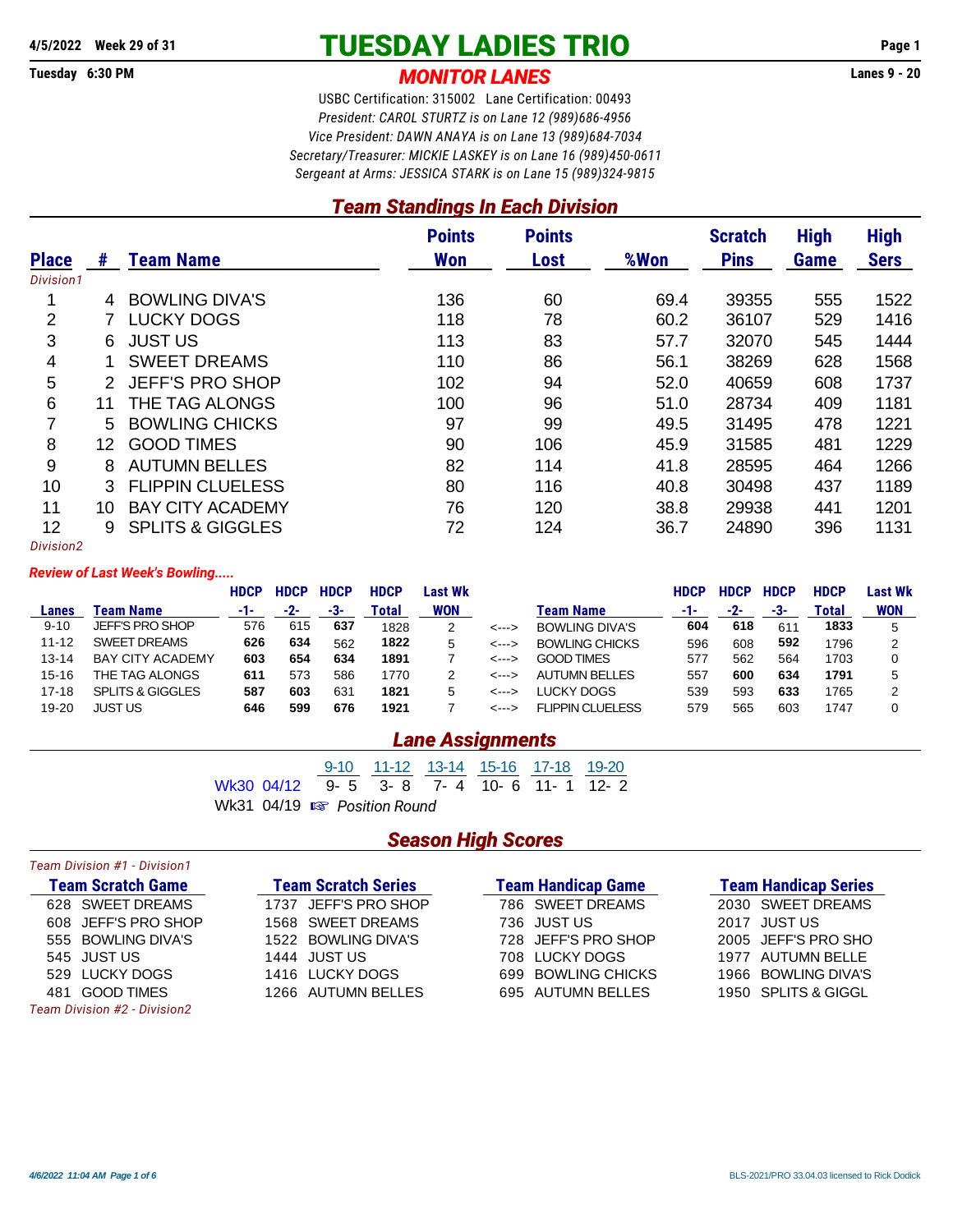## **4/5/2022 Week 29 of 31 TUESDAY LADIES TRIO Page 1**

**Tuesday 6:30 PM** *MONITOR LANES* **Lanes 9 - 20**

USBC Certification: 315002 Lane Certification: 00493 *President: CAROL STURTZ is on Lane 12 (989)686-4956 Vice President: DAWN ANAYA is on Lane 13 (989)684-7034 Secretary/Treasurer: MICKIE LASKEY is on Lane 16 (989)450-0611 Sergeant at Arms: JESSICA STARK is on Lane 15 (989)324-9815*

## *Team Standings In Each Division*

|              |               |                             | <b>Points</b> | <b>Points</b> |      | <b>Scratch</b> | <b>High</b> | <b>High</b> |
|--------------|---------------|-----------------------------|---------------|---------------|------|----------------|-------------|-------------|
| <b>Place</b> | #             | <b>Team Name</b>            | <b>Won</b>    | Lost          | %Won | <b>Pins</b>    | Game        | <b>Sers</b> |
| Division1    |               |                             |               |               |      |                |             |             |
|              | 4             | <b>BOWLING DIVA'S</b>       | 136           | 60            | 69.4 | 39355          | 555         | 1522        |
| 2            |               | <b>LUCKY DOGS</b>           | 118           | 78            | 60.2 | 36107          | 529         | 1416        |
| 3            | 6.            | <b>JUST US</b>              | 113           | 83            | 57.7 | 32070          | 545         | 1444        |
| 4            |               | <b>SWEET DREAMS</b>         | 110           | 86            | 56.1 | 38269          | 628         | 1568        |
| 5            | $\mathcal{P}$ | <b>JEFF'S PRO SHOP</b>      | 102           | 94            | 52.0 | 40659          | 608         | 1737        |
| 6            | 11            | THE TAG ALONGS              | 100           | 96            | 51.0 | 28734          | 409         | 1181        |
| 7            | 5.            | <b>BOWLING CHICKS</b>       | 97            | 99            | 49.5 | 31495          | 478         | 1221        |
| 8            | 12            | <b>GOOD TIMES</b>           | 90            | 106           | 45.9 | 31585          | 481         | 1229        |
| 9            | 8             | <b>AUTUMN BELLES</b>        | 82            | 114           | 41.8 | 28595          | 464         | 1266        |
| 10           | 3             | <b>FLIPPIN CLUELESS</b>     | 80            | 116           | 40.8 | 30498          | 437         | 1189        |
| 11           | 10            | <b>BAY CITY ACADEMY</b>     | 76            | 120           | 38.8 | 29938          | 441         | 1201        |
| 12           | 9             | <b>SPLITS &amp; GIGGLES</b> | 72            | 124           | 36.7 | 24890          | 396         | 1131        |
| Division2    |               |                             |               |               |      |                |             |             |

#### *Review of Last Week's Bowling.....*

|           |                             | <b>HDCP</b> | <b>HDCP</b> | <b>HDCP</b> | <b>HDCP</b> | Last Wk    |              |                       | <b>HDCP</b> | <b>HDCP</b> | <b>HDCP</b> | <b>HDCP</b>  | Last Wk    |
|-----------|-----------------------------|-------------|-------------|-------------|-------------|------------|--------------|-----------------------|-------------|-------------|-------------|--------------|------------|
| Lanes     | Team Name                   | -1-         | -2-         | -3-         | Total       | <b>WON</b> |              | Team Name             | -1-         | -2-         | -3-         | <b>Total</b> | <b>WON</b> |
| $9 - 10$  | <b>JEFF'S PRO SHOP</b>      | 576         | 615         | 637         | 1828        |            | <--->        | <b>BOWLING DIVA'S</b> | 604         | 618         | 611         | 1833         |            |
| $11 - 12$ | <b>SWEET DREAMS</b>         | 626         | 634         | 562         | 1822        | 5          | <--->        | <b>BOWLING CHICKS</b> | 596         | 608         | 592         | 1796         | ◠          |
| $13 - 14$ | <b>BAY CITY ACADEMY</b>     | 603         | 654         | 634         | 1891        |            | <--->        | <b>GOOD TIMES</b>     | 577         | 562         | 564         | 1703         |            |
| $15 - 16$ | THE TAG ALONGS              | 611         | 573         | 586         | 1770        |            | <--->        | AUTUMN BELLES         | 557         | 600         | 634         | 1791         |            |
| $17 - 18$ | <b>SPLITS &amp; GIGGLES</b> | 587         | 603         | 631         | 1821        | 5          | <--->        | LUCKY DOGS            | 539         | 593         | 633         | 1765         |            |
| $19 - 20$ | JUST US                     | 646         | 599         | 676         | 1921        |            | $\leftarrow$ | FLIPPIN CLUFLESS      | 579         | 565         | 603         | 1747         |            |
|           |                             |             |             |             |             |            |              |                       |             |             |             |              |            |

## *Lane Assignments*

|  |                                        |  | 9-10 11-12 13-14 15-16 17-18 19-20 |  |  |  |
|--|----------------------------------------|--|------------------------------------|--|--|--|
|  | Wk30 04/12 9-5 3-8 7-4 10-6 11-1 12-2  |  |                                    |  |  |  |
|  | Wk31 04/19 $\mathbb{R}$ Position Round |  |                                    |  |  |  |

## *Season High Scores*

| Team Division #1 - Division1 |                            |                           |                             |
|------------------------------|----------------------------|---------------------------|-----------------------------|
| <b>Team Scratch Game</b>     | <b>Team Scratch Series</b> | <b>Team Handicap Game</b> | <b>Team Handicap Series</b> |
| 628 SWEET DREAMS             | 1737 JEFF'S PRO SHOP       | 786 SWEET DREAMS          | 2030 SWEET DREAMS           |
| 608 JEFF'S PRO SHOP          | 1568 SWEET DREAMS          | 736 JUST US               | 2017 JUST US                |
| 555 BOWLING DIVA'S           | 1522 BOWLING DIVA'S        | 728 JEFF'S PRO SHOP       | 2005 JEFF'S PRO SHO         |
| 545 JUST US                  | 1444 JUST US               | 708 LUCKY DOGS            | 1977 AUTUMN BELLE           |
| 529 LUCKY DOGS               | 1416 LUCKY DOGS            | 699 BOWLING CHICKS        | 1966 BOWLING DIVA'S         |
| <b>GOOD TIMES</b><br>481     | 1266 AUTUMN BELLES         | 695 AUTUMN BELLES         | 1950 SPLITS & GIGGL         |
| Team Division #2 - Division2 |                            |                           |                             |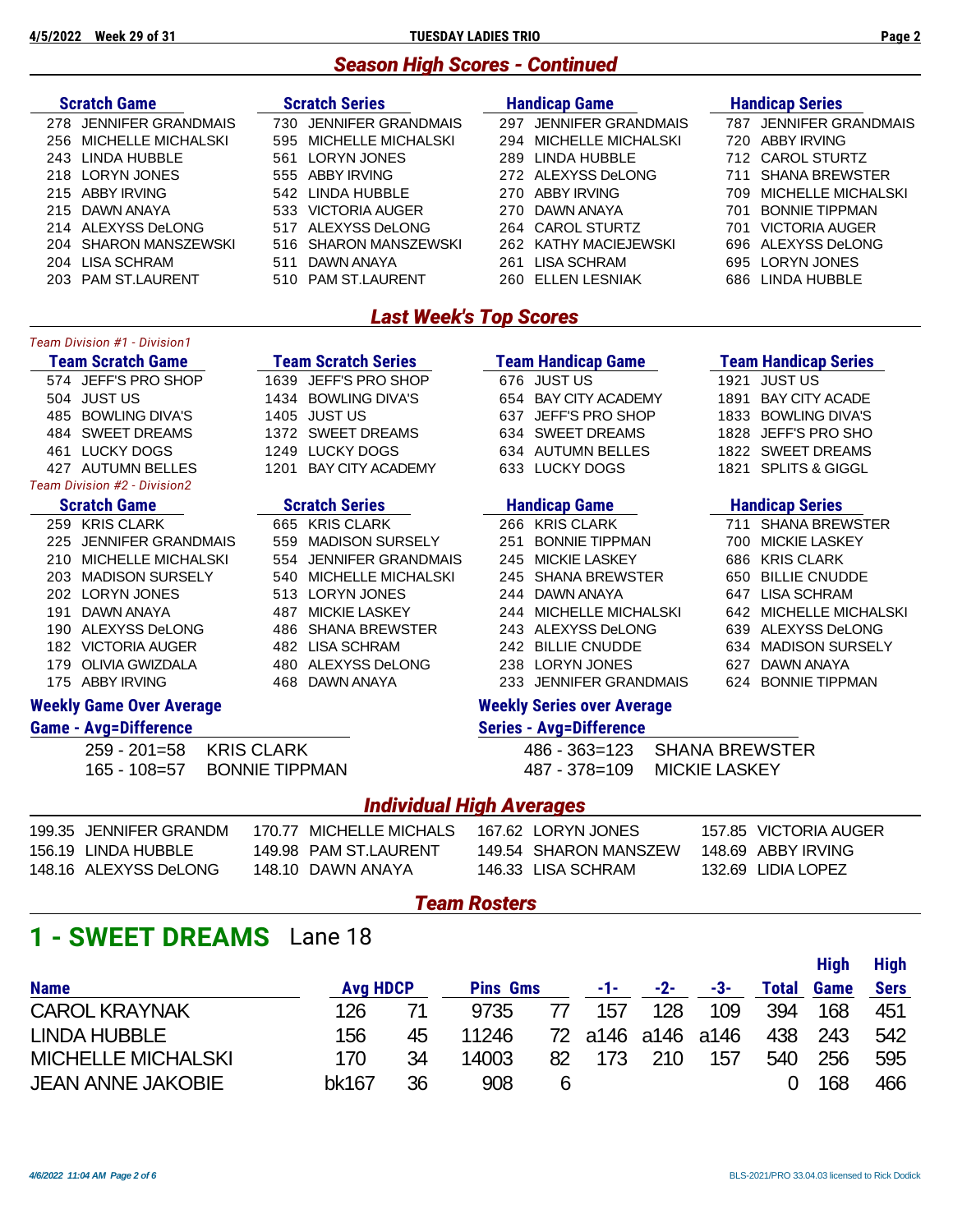## *Season High Scores - Continued*

| <b>Scratch Game</b>           | <b>Scratch Series</b>      | <b>Handicap Game</b>      | <b>Handicap Series</b>      |  |  |  |  |  |  |
|-------------------------------|----------------------------|---------------------------|-----------------------------|--|--|--|--|--|--|
| <b>JENNIFER GRANDMAIS</b>     | <b>JENNIFER GRANDMAIS</b>  | <b>JENNIFER GRANDMAIS</b> | <b>JENNIFER GRANDMAIS</b>   |  |  |  |  |  |  |
| 278                           | 730.                       | 297                       | 787                         |  |  |  |  |  |  |
| <b>MICHELLE MICHALSKI</b>     | MICHELLE MICHALSKI         | <b>MICHELLE MICHALSKI</b> | <b>ABBY IRVING</b>          |  |  |  |  |  |  |
| 256                           | 595                        | 294                       | 720.                        |  |  |  |  |  |  |
| LINDA HUBBLE                  | <b>LORYN JONES</b>         | LINDA HUBBLE              | <b>CAROL STURTZ</b>         |  |  |  |  |  |  |
| 243                           | 561                        | 289                       | 712.                        |  |  |  |  |  |  |
| LORYN JONES                   | <b>ABBY IRVING</b>         | ALEXYSS DeLONG            | <b>SHANA BREWSTER</b>       |  |  |  |  |  |  |
| 218                           | 555                        | 272                       | 711                         |  |  |  |  |  |  |
| <b>ABBY IRVING</b>            | LINDA HUBBLE               | <b>ABBY IRVING</b>        | <b>MICHELLE MICHALSKI</b>   |  |  |  |  |  |  |
| 215                           | 542                        | 270                       | 709                         |  |  |  |  |  |  |
| DAWN ANAYA                    | <b>VICTORIA AUGER</b>      | DAWN ANAYA                | <b>BONNIE TIPPMAN</b>       |  |  |  |  |  |  |
| 215                           | 533                        | 270                       | 701                         |  |  |  |  |  |  |
| ALEXYSS DeLONG                | ALEXYSS DeLONG             | <b>CAROL STURTZ</b>       | <b>VICTORIA AUGER</b>       |  |  |  |  |  |  |
| 214                           | 517                        | 264                       | 701                         |  |  |  |  |  |  |
| <b>SHARON MANSZEWSKI</b>      | SHARON MANSZEWSKI          | KATHY MACIEJEWSKI         | ALEXYSS DeLONG              |  |  |  |  |  |  |
| 204                           | 516.                       | 262                       | 696                         |  |  |  |  |  |  |
| <b>LISA SCHRAM</b>            | DAWN ANAYA                 | <b>LISA SCHRAM</b>        | <b>LORYN JONES</b>          |  |  |  |  |  |  |
| 204                           | 511                        | 261                       | 695                         |  |  |  |  |  |  |
| <b>PAM ST.LAURENT</b>         | <b>PAM ST.LAURENT</b>      | <b>ELLEN LESNIAK</b>      | LINDA HUBBLE                |  |  |  |  |  |  |
| 203                           | 510                        | 260                       | 686                         |  |  |  |  |  |  |
| <b>Last Week's Top Scores</b> |                            |                           |                             |  |  |  |  |  |  |
| Team Division #1 - Division1  |                            |                           |                             |  |  |  |  |  |  |
| <b>Team Scratch Game</b>      | <b>Team Scratch Series</b> | <b>Team Handicap Game</b> | <b>Team Handicap Series</b> |  |  |  |  |  |  |
| <b>JEFF'S PRO SHOP</b>        | <b>JEFF'S PRO SHOP</b>     | JUST US                   | <b>JUST US</b>              |  |  |  |  |  |  |
| 574                           | 1639                       | 676                       | 1921                        |  |  |  |  |  |  |

504 JUST US 1434 BOWLING DIVA'S 654 BAY CITY ACADEMY 1891 BAY CITY ACADE 485 BOWLING DIVA'S 1405 JUST US 637 JEFF'S PRO SHOP 1833 BOWLING DIVA'S 484 SWEET DREAMS 1372 SWEET DREAMS 634 SWEET DREAMS 1828 JEFF'S PRO SHO 461 LUCKY DOGS 1249 LUCKY DOGS 634 AUTUMN BELLES 1822 SWEET DREAMS 427 AUTUMN BELLES 1201 BAY CITY ACADEMY 633 LUCKY DOGS 1821 SPLITS & GIGGL *Team Division #2 - Division2*

|       | 259 KRIS CLARK         |
|-------|------------------------|
|       | 225 JENNIFER GRANDMAIS |
|       | 210 MICHELLE MICHALSKI |
| 203 - | <b>MADISON SURSELY</b> |
|       | 202 LORYN JONES        |
|       | 191 DAWN ANAYA         |
|       | 190 ALEXYSS DeLONG     |
|       | 182 VICTORIA AUGER     |
|       | 179 OLIVIA GWIZDALA    |
|       | 175 ABBY IRVING        |

|       | 665 KRIS CLARK            |
|-------|---------------------------|
|       | 559 MADISON SURSELY       |
|       | 554   JENNIFER GRANDMAIS  |
| 540 - | <b>MICHELLE MICHALSKI</b> |
| 513   | LORYN JONES               |
|       | 487 MICKIE LASKEY         |
|       | 486   SHANA BREWSTER      |
|       | 482 LISA SCHRAM           |
|       | 480 ALEXYSS DeLONG        |
|       | 468 DAWN ANAYA            |
|       |                           |

### **Scratch Game Scratch Series Handicap Game Handicap Series**

| 259 KRIS CLARK         | 665 KRIS CLARK         | 266 KRIS CLARK         | 711 SHANA BREWSTER     |
|------------------------|------------------------|------------------------|------------------------|
| 225 JENNIFER GRANDMAIS | 559 MADISON SURSELY    | 251 BONNIE TIPPMAN     | 700 MICKIE LASKEY      |
| 210 MICHELLE MICHALSKI | 554 JENNIFER GRANDMAIS | 245 MICKIE LASKEY      | 686 KRIS CLARK         |
| 203   MADISON SURSELY  | 540 MICHELLE MICHALSKI | 245 SHANA BREWSTER     | 650 BILLIE CNUDDE      |
| 202 LORYN JONES        | 513 LORYN JONES        | 244 DAWN ANAYA         | 647 LISA SCHRAM        |
| 191 DAWN ANAYA         | 487 MICKIE LASKEY      | 244 MICHELLE MICHALSKI | 642 MICHELLE MICHALSKI |
| 190 ALEXYSS DeLONG     | 486 SHANA BREWSTER     | 243 ALEXYSS DeLONG     | 639 ALEXYSS DeLONG     |
| 182 VICTORIA AUGER     | 482 LISA SCHRAM        | 242 BILLIE CNUDDE      | 634 MADISON SURSELY    |
| 179 OLIVIA GWIZDALA    | 480 ALEXYSS DeLONG     | 238 LORYN JONES        | 627 DAWN ANAYA         |
| 175 ABBY IRVING        | 468 DAWN ANAYA         | 233 JENNIFER GRANDMAIS | 624 BONNIE TIPPMAN     |
|                        |                        |                        |                        |

## **Weekly Game Over Average Weekly Series over Average**

### **Game - Avg=Difference Series - Avg=Difference**

| 259 - 201=58 KRIS CLARK     | 486 - 363=123 SHANA BREWSTER |
|-----------------------------|------------------------------|
| 165 - 108=57 BONNIE TIPPMAN | 487 - 378=109 MICKIE LASKEY  |

### *Individual High Averages*

| 199.35 JENNIFER GRANDM | 170.77 MICHELLE MICHALS | 167.62 LORYN JONES    | 157.85 VICTORIA AUGER |
|------------------------|-------------------------|-----------------------|-----------------------|
| 156.19 LINDA HUBBLE    | 149.98 PAM ST LAURENT   | 149.54 SHARON MANSZEW | 148.69 ABBY IRVING    |
| 148.16 ALEXYSS DeLONG  | 148.10 DAWN ANAYA       | 146.33 LISA SCHRAM    | 132.69 LIDIA LOPEZ    |

### *Team Rosters*

## **1 - SWEET DREAMS** Lane 18

| <b>Name</b>               | <b>Avg HDCP</b> |    | <b>Pins Gms</b> |    | $-1$ - $-$ | $-2-$ | -3-                       |     | <b>Total Game</b> | Sers  |
|---------------------------|-----------------|----|-----------------|----|------------|-------|---------------------------|-----|-------------------|-------|
| <b>CAROL KRAYNAK</b>      | 126             |    | 9735            | 77 | 157        | 128   | 109                       |     | 394 168           | - 451 |
| <b>LINDA HUBBLE</b>       | 156             | 45 | 11246           |    |            |       | 72 a146 a146 a146 438 243 |     |                   | 542   |
| <b>MICHELLE MICHALSKI</b> | 170             | 34 | 14003           |    | 82 173 210 |       | 157                       | 540 | 256               | 595   |
| <b>JEAN ANNE JAKOBIE</b>  | bk167           | 36 | 908             | 6  |            |       |                           |     | 168               | 466   |

**High High**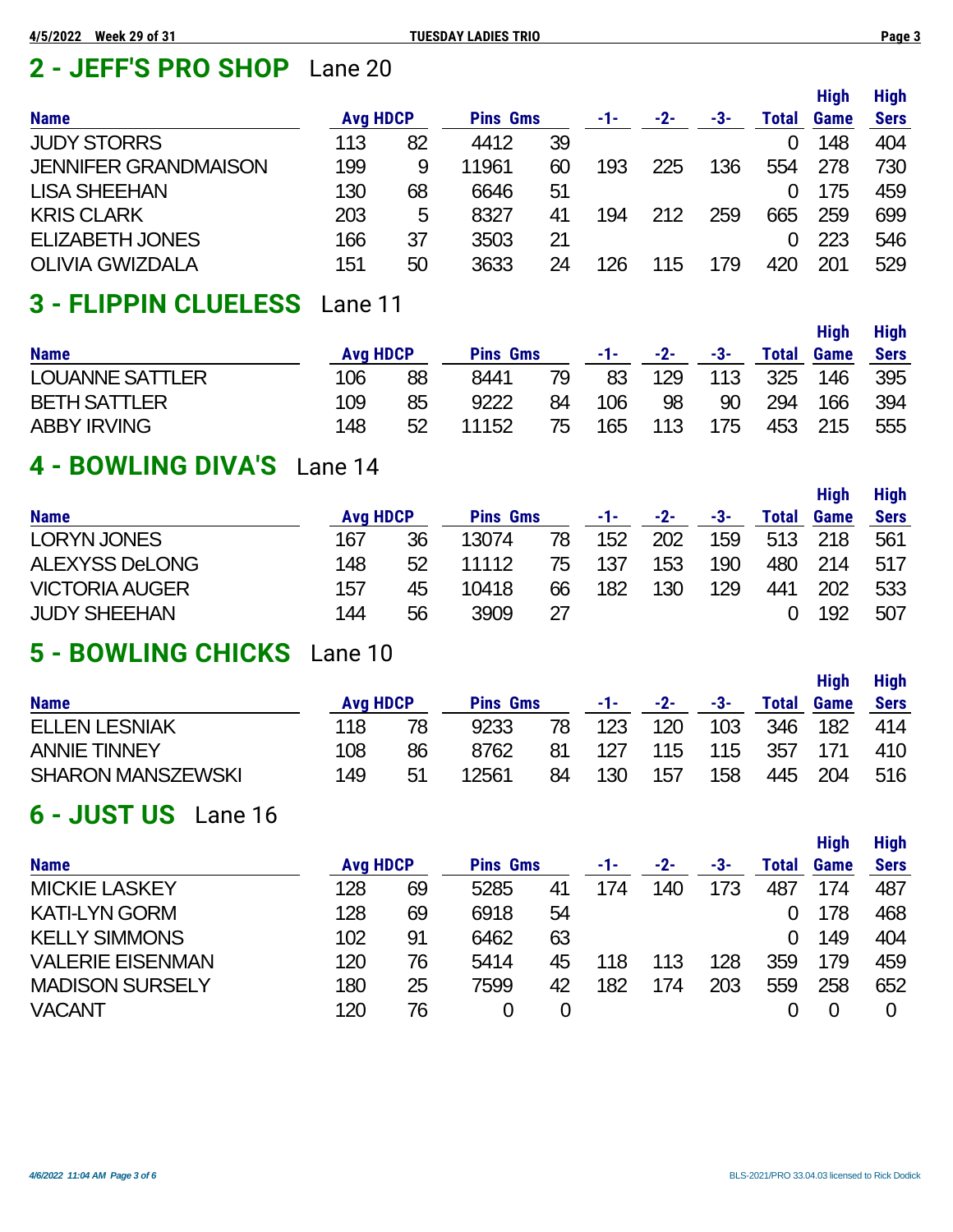# **2 - JEFF'S PRO SHOP** Lane 20

|                             |                 |    |                 |    |     |     |     |       | <b>High</b> | <b>High</b> |
|-----------------------------|-----------------|----|-----------------|----|-----|-----|-----|-------|-------------|-------------|
| <b>Name</b>                 | <b>Avg HDCP</b> |    | <b>Pins Gms</b> |    | -1- | -2- | -3- | Total | Game        | <b>Sers</b> |
| <b>JUDY STORRS</b>          | 113             | 82 | 4412            | 39 |     |     |     | 0     | 148         | 404         |
| <b>JENNIFER GRANDMAISON</b> | 199             | 9  | 11961           | 60 | 193 | 225 | 136 | 554   | 278         | 730         |
| <b>LISA SHEEHAN</b>         | 130             | 68 | 6646            | 51 |     |     |     | 0     | 175         | 459         |
| <b>KRIS CLARK</b>           | 203             | 5  | 8327            | 41 | 194 | 212 | 259 | 665   | 259         | 699         |
| <b>ELIZABETH JONES</b>      | 166             | 37 | 3503            | 21 |     |     |     | 0     | 223         | 546         |
| <b>OLIVIA GWIZDALA</b>      | 151             | 50 | 3633            | 24 | 126 | 115 | 179 | 420   | 201         | 529         |

# **3 - FLIPPIN CLUELESS** Lane 11

|                        |                 |    |                 |     |       |       |     |              | <b>High</b> | <b>High</b> |
|------------------------|-----------------|----|-----------------|-----|-------|-------|-----|--------------|-------------|-------------|
| <b>Name</b>            | <b>Avg HDCP</b> |    | <b>Pins Gms</b> |     | -1- - | $-2-$ | -3- | <b>Total</b> | <b>Game</b> | <b>Sers</b> |
| <b>LOUANNE SATTLER</b> | 106             | 88 | 8441            | 79  | 83    | 129   | 113 |              | 325 146     | 395         |
| <b>BETH SATTLER</b>    | 109             | 85 | 9222            | 84  | 106   | 98    | 90  | 294          | 166         | 394         |
| <b>ABBY IRVING</b>     | 148             | 52 | 11152           | 75. | 165   | 113   | 175 |              | 453 215     | 555         |

# **4 - BOWLING DIVA'S** Lane 14

|                       |                 |    |                 |    |     |       |     |       | <b>High</b> | <b>High</b> |
|-----------------------|-----------------|----|-----------------|----|-----|-------|-----|-------|-------------|-------------|
| <b>Name</b>           | <b>Avg HDCP</b> |    | <b>Pins Gms</b> |    | -1- | $-2-$ | -3- | Total | Game        | <b>Sers</b> |
| <b>LORYN JONES</b>    | 167             | 36 | 13074           | 78 | 152 | 202   | 159 | 513   | 218         | 561         |
| <b>ALEXYSS DeLONG</b> | 148             | 52 | 11112           | 75 | 137 | 153   | 190 | 480   | 214         | 517         |
| <b>VICTORIA AUGER</b> | 157             | 45 | 10418           | 66 | 182 | 130   | 129 | 441   | 202         | 533         |
| <b>JUDY SHEEHAN</b>   | 144             | 56 | 3909            | 27 |     |       |     |       | 192         | 507         |

# **5 - BOWLING CHICKS** Lane 10

| <b>Name</b>              | <b>Avg HDCP</b> |     | <b>Pins Gms</b> |     | -1- | $-2-$ | -3- | <b>Total</b> | <b>High</b><br><b>Game</b> | <b>High</b><br><b>Sers</b> |
|--------------------------|-----------------|-----|-----------------|-----|-----|-------|-----|--------------|----------------------------|----------------------------|
| <b>ELLEN LESNIAK</b>     | 118             | 78  | 9233            | 78. | 123 | 120   | 103 | 346          | 182                        | 414                        |
| <b>ANNIE TINNEY</b>      | 108             | 86  | 8762            | 81  | 127 | 115   | 115 | 357          | 171                        | 410                        |
| <b>SHARON MANSZEWSKI</b> | 149             | .51 | 12561           | 84  | 130 | 157   | 158 |              | 445 204                    | 516                        |

# **6 - JUST US** Lane 16

|                         |                 |    |                 |    |     |       |     |       | <b>High</b> | <b>High</b> |
|-------------------------|-----------------|----|-----------------|----|-----|-------|-----|-------|-------------|-------------|
| <b>Name</b>             | <b>Avg HDCP</b> |    | <b>Pins Gms</b> |    | -1- | $-2-$ | -3- | Total | Game        | <b>Sers</b> |
| <b>MICKIE LASKEY</b>    | 128             | 69 | 5285            | 41 | 174 | 140   | 173 | 487   | 174         | 487         |
| <b>KATI-LYN GORM</b>    | 128             | 69 | 6918            | 54 |     |       |     |       | 178         | 468         |
| <b>KELLY SIMMONS</b>    | 102             | 91 | 6462            | 63 |     |       |     | 0     | 149         | 404         |
| <b>VALERIE EISENMAN</b> | 120             | 76 | 5414            | 45 | 118 | 113   | 128 | 359   | 179         | 459         |
| <b>MADISON SURSELY</b>  | 180             | 25 | 7599            | 42 | 182 | 174   | 203 | 559   | 258         | 652         |
| <b>VACANT</b>           | 120             | 76 | O               | 0  |     |       |     |       |             |             |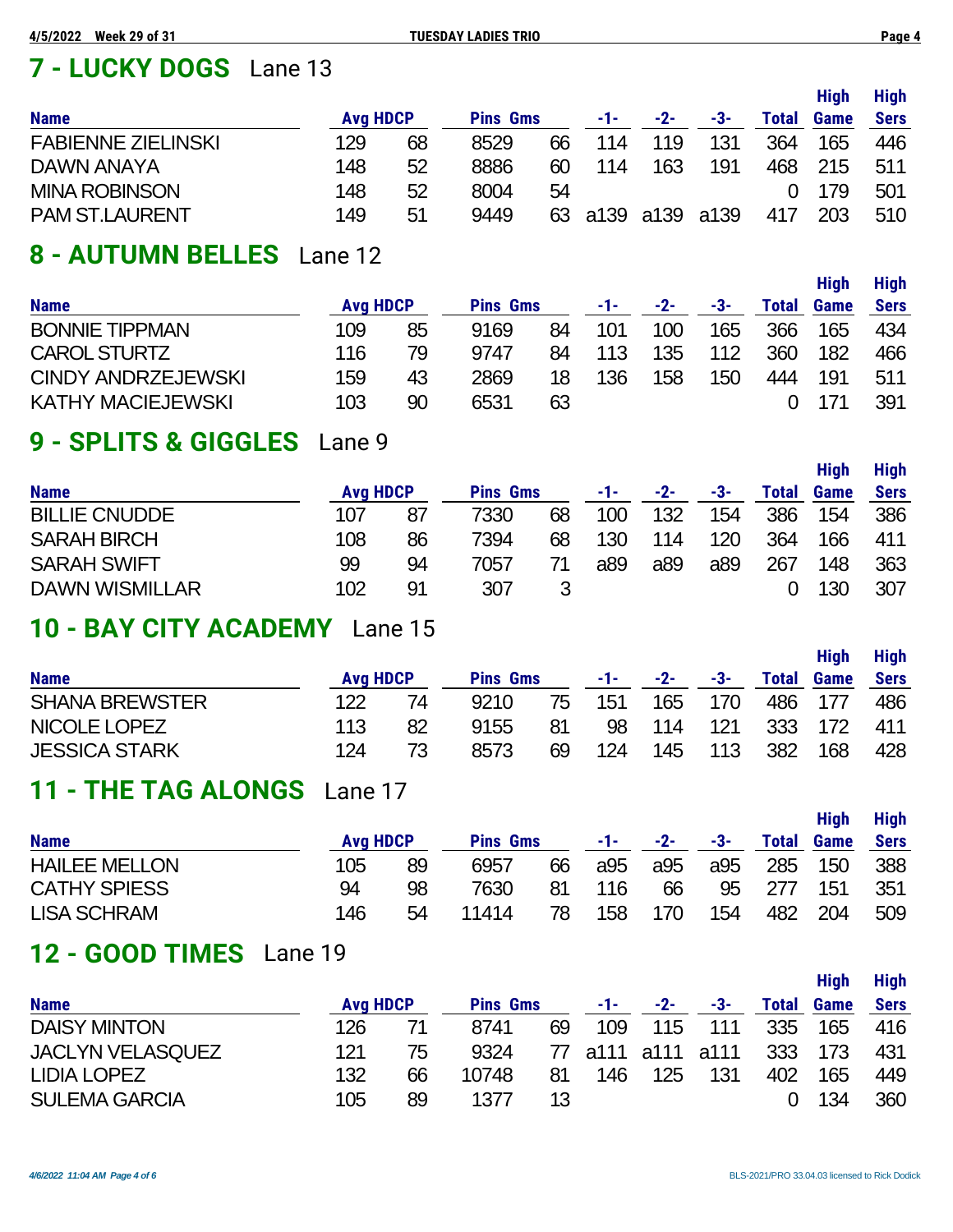# **7 - LUCKY DOGS** Lane 13

| <b>Name</b>               | <b>Avg HDCP</b> |    | <b>Pins Gms</b> |    | -1- | $-2-$          | -3- | Total | <b>High</b><br>Game | <b>High</b><br><b>Sers</b> |
|---------------------------|-----------------|----|-----------------|----|-----|----------------|-----|-------|---------------------|----------------------------|
| <b>FABIENNE ZIELINSKI</b> | 129             | 68 | 8529            | 66 | 114 | 119            | 131 | 364   | 165                 | 446                        |
| DAWN ANAYA                | 148             | 52 | 8886            | 60 | 114 | 163            | 191 | 468   | 215                 | 511                        |
| <b>MINA ROBINSON</b>      | 148             | 52 | 8004            | 54 |     |                |     |       | 179                 | 501                        |
| <b>PAM ST.LAURENT</b>     | 149             | 51 | 9449            | 63 |     | a139 a139 a139 |     | 417   | 203                 | 510                        |

# **8 - AUTUMN BELLES** Lane 12

|                           |                 |    |                 |    |     |       |     |       | <b>High</b> | <b>High</b> |
|---------------------------|-----------------|----|-----------------|----|-----|-------|-----|-------|-------------|-------------|
| <b>Name</b>               | <b>Avg HDCP</b> |    | <b>Pins Gms</b> |    | -1- | $-2-$ | -3- | Total | Game        | <b>Sers</b> |
| <b>BONNIE TIPPMAN</b>     | 109             | 85 | 9169            | 84 | 101 | 100   | 165 | 366   | 165         | 434         |
| <b>CAROL STURTZ</b>       | 116             | 79 | 9747            | 84 | 113 | 135   | 112 | 360   | 182         | 466         |
| <b>CINDY ANDRZEJEWSKI</b> | 159             | 43 | 2869            | 18 | 136 | 158   | 150 | 444   | 191         | 511         |
| <b>KATHY MACIEJEWSKI</b>  | 103             | 90 | 6531            | 63 |     |       |     |       | 171         | 391         |

# **9 - SPLITS & GIGGLES** Lane 9

|                       |                 |     |                 |    |     |       |     |       | <b>High</b> | <b>High</b> |
|-----------------------|-----------------|-----|-----------------|----|-----|-------|-----|-------|-------------|-------------|
| <b>Name</b>           | <b>Avg HDCP</b> |     | <b>Pins Gms</b> |    | -1- | $-2-$ | -3- | Total | Game        | <b>Sers</b> |
| <b>BILLIE CNUDDE</b>  | 107             | 87  | 7330            | 68 | 100 | 132   | 154 | 386   | 154         | 386         |
| <b>SARAH BIRCH</b>    | 108             | 86  | 7394            | 68 | 130 | 114   | 120 | 364   | 166         | 411         |
| <b>SARAH SWIFT</b>    | 99              | 94  | 7057            |    | a89 | a89   | a89 | 267   | 148         | 363         |
| <b>DAWN WISMILLAR</b> | 102             | -91 | 307             |    |     |       |     |       | 130         | 307         |

## **10 - BAY CITY ACADEMY** Lane 15

| <b>Name</b>           | <b>Avg HDCP</b> |    | <b>Pins Gms</b> |    | -1- - | -2- | -3- | <b>Total</b> | <b>High</b><br>Game | <b>High</b><br><b>Sers</b> |
|-----------------------|-----------------|----|-----------------|----|-------|-----|-----|--------------|---------------------|----------------------------|
| <b>SHANA BREWSTER</b> | 122             | 74 | 9210            | 75 | 151   | 165 | 170 |              | 486 177             | 486                        |
| NICOLE LOPEZ          | 113             | 82 | 9155            | 81 | 98    | 114 | 121 |              | 333 172             | 411                        |
| <b>JESSICA STARK</b>  | 124             |    | 8573            | 69 | 124   | 145 | 113 | 382          | 168                 | 428                        |

## **11 - THE TAG ALONGS** Lane 17

| <b>Name</b>          | <b>Avg HDCP</b> |    | <b>Pins Gms</b> |    | -1- - | -2- | -3- | <b>Total</b> | <b>High</b><br><b>Game</b> | <b>High</b><br><b>Sers</b> |
|----------------------|-----------------|----|-----------------|----|-------|-----|-----|--------------|----------------------------|----------------------------|
| <b>HAILEE MELLON</b> | 105             | 89 | 6957            | 66 | a95   | a95 | a95 | 285          | 150                        | 388                        |
| <b>CATHY SPIESS</b>  | 94              | 98 | 7630            | 81 | 116   | 66  | 95  | 277          | 151                        | 351                        |
| <b>LISA SCHRAM</b>   | 146             | 54 | 11414           | 78 | 158   | 170 | 154 | 482          | 204                        | 509                        |

# **12 - GOOD TIMES** Lane 19

|                         |                 |    |                 |    |     |                   |     |              | Hiah | <b>High</b> |
|-------------------------|-----------------|----|-----------------|----|-----|-------------------|-----|--------------|------|-------------|
| <b>Name</b>             | <b>Avg HDCP</b> |    | <b>Pins Gms</b> |    | -1- | $-2-$             | -3- | <b>Total</b> | Game | <b>Sers</b> |
| <b>DAISY MINTON</b>     | 126             |    | 8741            | 69 | 109 | 115               | 111 | 335          | 165  | 416         |
| <b>JACLYN VELASQUEZ</b> | 121             | 75 | 9324            |    |     | 77 a111 a111 a111 |     | 333          | 173  | 431         |
| <b>LIDIA LOPEZ</b>      | 132             | 66 | 10748           | 81 | 146 | 125               | 131 | 402          | 165  | 449         |
| <b>SULEMA GARCIA</b>    | 105             | 89 | 1377            | 13 |     |                   |     |              | 134  | 360         |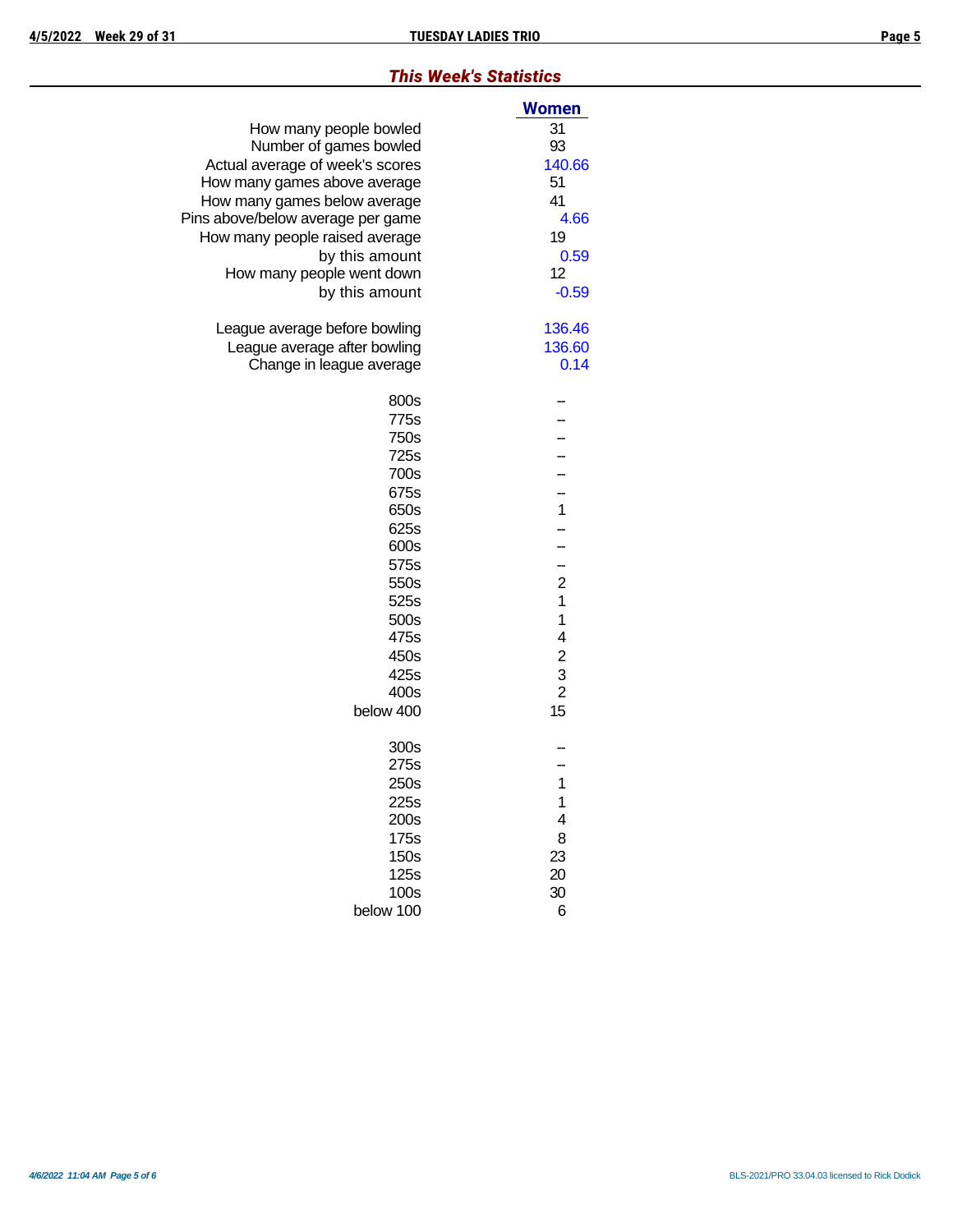## *This Week's Statistics*

|                                   | Women                   |
|-----------------------------------|-------------------------|
| How many people bowled            | 31                      |
| Number of games bowled            | 93                      |
| Actual average of week's scores   | 140.66                  |
| How many games above average      | 51                      |
| How many games below average      | 41                      |
| Pins above/below average per game | 4.66                    |
| How many people raised average    | 19                      |
| by this amount                    | 0.59                    |
| How many people went down         | 12                      |
| by this amount                    | $-0.59$                 |
| League average before bowling     | 136.46                  |
| League average after bowling      | 136.60                  |
| Change in league average          | 0.14                    |
| 800s                              |                         |
| 775s                              |                         |
| 750s                              |                         |
| 725s                              |                         |
| 700s                              |                         |
| 675s                              |                         |
| 650s                              | $\mathbf{1}$            |
| 625s                              |                         |
| 600s                              |                         |
| 575s                              | -                       |
| 550s                              | $\overline{c}$          |
| 525s                              | 1                       |
| 500s                              | 1                       |
| 475s                              | 4                       |
| 450s                              | $\overline{\mathbf{c}}$ |
| 425s                              | $\frac{3}{2}$           |
| 400s                              |                         |
| below 400                         | 15                      |
| 300s                              |                         |
| 275s                              |                         |
| 250s                              | 1                       |
| 225s                              | 1                       |
| 200s                              | 4                       |
| 175s                              | 8                       |
| 150s                              | 23                      |
| 125s                              | 20                      |
| 100s                              | 30                      |
| below 100                         | 6                       |